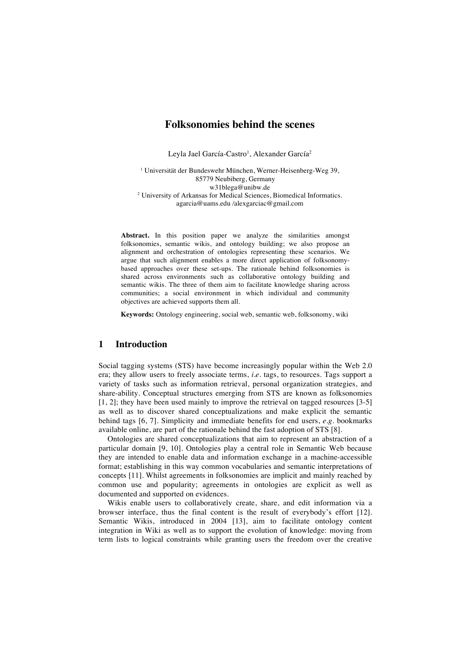# **Folksonomies behind the scenes**

Leyla Jael García-Castro<sup>1</sup>, Alexander García<sup>2</sup>

<sup>1</sup> Universität der Bundeswehr München, Werner-Heisenberg-Weg 39, 85779 Neubiberg, Germany w31blega@unibw.de <sup>2</sup> University of Arkansas for Medical Sciences, Biomedical Informatics. agarcia@uams.edu /alexgarciac@gmail.com

**Abstract.** In this position paper we analyze the similarities amongst folksonomies, semantic wikis, and ontology building; we also propose an alignment and orchestration of ontologies representing these scenarios. We argue that such alignment enables a more direct application of folksonomybased approaches over these set-ups. The rationale behind folksonomies is shared across environments such as collaborative ontology building and semantic wikis. The three of them aim to facilitate knowledge sharing across communities; a social environment in which individual and community objectives are achieved supports them all.

**Keywords:** Ontology engineering, social web, semantic web, folksonomy, wiki

## **1 Introduction**

Social tagging systems (STS) have become increasingly popular within the Web 2.0 era; they allow users to freely associate terms, *i.e.* tags, to resources. Tags support a variety of tasks such as information retrieval, personal organization strategies, and share-ability. Conceptual structures emerging from STS are known as folksonomies [1, 2]; they have been used mainly to improve the retrieval on tagged resources [3-5] as well as to discover shared conceptualizations and make explicit the semantic behind tags [6, 7]. Simplicity and immediate benefits for end users, *e.g.* bookmarks available online, are part of the rationale behind the fast adoption of STS [8].

Ontologies are shared conceptualizations that aim to represent an abstraction of a particular domain [9, 10]. Ontologies play a central role in Semantic Web because they are intended to enable data and information exchange in a machine-accessible format; establishing in this way common vocabularies and semantic interpretations of concepts [11]. Whilst agreements in folksonomies are implicit and mainly reached by common use and popularity; agreements in ontologies are explicit as well as documented and supported on evidences.

Wikis enable users to collaboratively create, share, and edit information via a browser interface, thus the final content is the result of everybody's effort [12]. Semantic Wikis, introduced in 2004 [13], aim to facilitate ontology content integration in Wiki as well as to support the evolution of knowledge: moving from term lists to logical constraints while granting users the freedom over the creative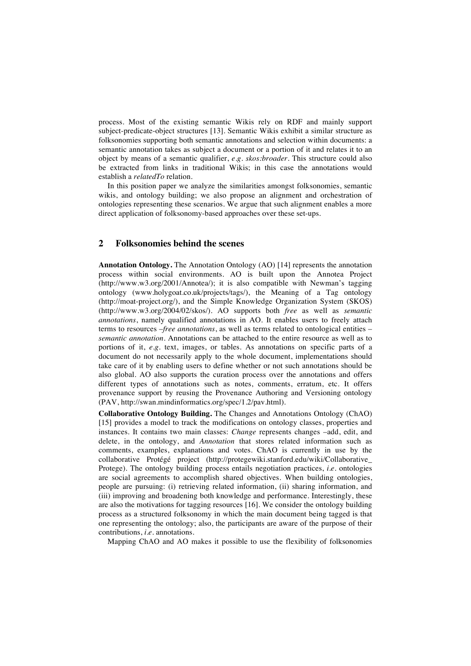process. Most of the existing semantic Wikis rely on RDF and mainly support subject-predicate-object structures [13]. Semantic Wikis exhibit a similar structure as folksonomies supporting both semantic annotations and selection within documents: a semantic annotation takes as subject a document or a portion of it and relates it to an object by means of a semantic qualifier, *e.g. skos:broader*. This structure could also be extracted from links in traditional Wikis; in this case the annotations would establish a *relatedTo* relation.

In this position paper we analyze the similarities amongst folksonomies, semantic wikis, and ontology building; we also propose an alignment and orchestration of ontologies representing these scenarios. We argue that such alignment enables a more direct application of folksonomy-based approaches over these set-ups.

### **2 Folksonomies behind the scenes**

**Annotation Ontology.** The Annotation Ontology (AO) [14] represents the annotation process within social environments. AO is built upon the Annotea Project (http://www.w3.org/2001/Annotea/); it is also compatible with Newman's tagging ontology (www.holygoat.co.uk/projects/tags/), the Meaning of a Tag ontology (http://moat-project.org/), and the Simple Knowledge Organization System (SKOS) (http://www.w3.org/2004/02/skos/). AO supports both *free* as well as *semantic annotations*, namely qualified annotations in AO. It enables users to freely attach terms to resources –*free annotations*, as well as terms related to ontological entities – *semantic annotation*. Annotations can be attached to the entire resource as well as to portions of it, *e.g.* text, images, or tables. As annotations on specific parts of a document do not necessarily apply to the whole document, implementations should take care of it by enabling users to define whether or not such annotations should be also global. AO also supports the curation process over the annotations and offers different types of annotations such as notes, comments, erratum, etc. It offers provenance support by reusing the Provenance Authoring and Versioning ontology (PAV, http://swan.mindinformatics.org/spec/1.2/pav.html).

**Collaborative Ontology Building.** The Changes and Annotations Ontology (ChAO) [15] provides a model to track the modifications on ontology classes, properties and instances. It contains two main classes: *Change* represents changes –add, edit, and delete, in the ontology, and *Annotation* that stores related information such as comments, examples, explanations and votes. ChAO is currently in use by the collaborative Protégé project (http://protegewiki.stanford.edu/wiki/Collaborative\_ Protege). The ontology building process entails negotiation practices, *i.e.* ontologies are social agreements to accomplish shared objectives. When building ontologies, people are pursuing: (i) retrieving related information, (ii) sharing information, and (iii) improving and broadening both knowledge and performance. Interestingly, these are also the motivations for tagging resources [16]. We consider the ontology building process as a structured folksonomy in which the main document being tagged is that one representing the ontology; also, the participants are aware of the purpose of their contributions, *i.e.* annotations.

Mapping ChAO and AO makes it possible to use the flexibility of folksonomies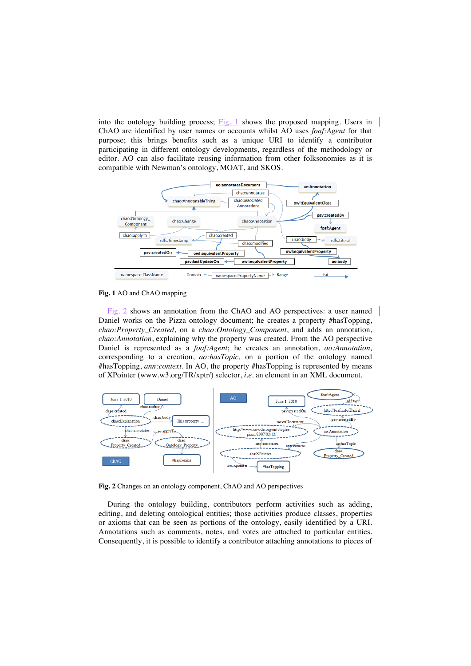into the ontology building process; Fig. 1 shows the proposed mapping. Users in ChAO are identified by user names or accounts whilst AO uses *foaf:Agent* for that purpose; this brings benefits such as a unique URI to identify a contributor participating in different ontology developments, regardless of the methodology or editor. AO can also facilitate reusing information from other folksonomies as it is compatible with Newman's ontology, MOAT, and SKOS.



**Fig. 1** AO and ChAO mapping

Fig. 2 shows an annotation from the ChAO and AO perspectives: a user named Daniel works on the Pizza ontology document; he creates a property #hasTopping, *chao:Property\_Created*, on a *chao:Ontology\_Component*, and adds an annotation, *chao:Annotation*, explaining why the property was created. From the AO perspective Daniel is represented as a *foaf:Agent*; he creates an annotation, *ao:Annotation,* corresponding to a creation, *ao:hasTopic,* on a portion of the ontology named #hasTopping, *ann:context*. In AO, the property #hasTopping is represented by means of XPointer (www.w3.org/TR/xptr/) selector, *i.e.* an element in an XML document.



**Fig. 2** Changes on an ontology component, ChAO and AO perspectives

During the ontology building, contributors perform activities such as adding, editing, and deleting ontological entities; those activities produce classes, properties or axioms that can be seen as portions of the ontology, easily identified by a URI. Annotations such as comments, notes, and votes are attached to particular entities. Consequently, it is possible to identify a contributor attaching annotations to pieces of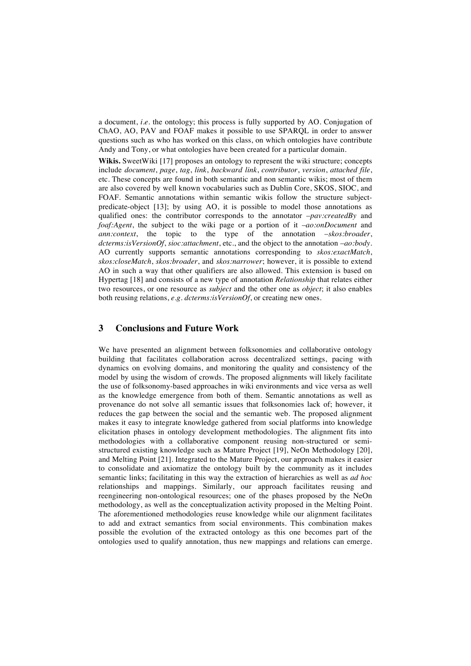a document, *i.e.* the ontology; this process is fully supported by AO. Conjugation of ChAO, AO, PAV and FOAF makes it possible to use SPARQL in order to answer questions such as who has worked on this class, on which ontologies have contribute Andy and Tony, or what ontologies have been created for a particular domain.

**Wikis.** SweetWiki [17] proposes an ontology to represent the wiki structure; concepts include *document*, *page*, *tag*, *link*, *backward link*, *contributor*, *version*, *attached file*, etc. These concepts are found in both semantic and non semantic wikis; most of them are also covered by well known vocabularies such as Dublin Core, SKOS, SIOC, and FOAF. Semantic annotations within semantic wikis follow the structure subjectpredicate-object [13]; by using AO, it is possible to model those annotations as qualified ones: the contributor corresponds to the annotator –*pav:createdBy* and *foaf:Agent*, the subject to the wiki page or a portion of it –*ao:onDocument* and *ann:context*, the topic to the type of the annotation –*skos:broader*, *dcterms:isVersionOf*, *sioc:attachment*, etc., and the object to the annotation –*ao:body*. AO currently supports semantic annotations corresponding to *skos:exactMatch*, *skos:closeMatch*, *skos:broader*, and *skos:narrower*; however, it is possible to extend AO in such a way that other qualifiers are also allowed. This extension is based on Hypertag [18] and consists of a new type of annotation *Relationship* that relates either two resources, or one resource as *subject* and the other one as *object*; it also enables both reusing relations, *e.g. dcterms:isVersionOf*, or creating new ones.

### **3 Conclusions and Future Work**

We have presented an alignment between folksonomies and collaborative ontology building that facilitates collaboration across decentralized settings, pacing with dynamics on evolving domains, and monitoring the quality and consistency of the model by using the wisdom of crowds. The proposed alignments will likely facilitate the use of folksonomy-based approaches in wiki environments and vice versa as well as the knowledge emergence from both of them. Semantic annotations as well as provenance do not solve all semantic issues that folksonomies lack of; however, it reduces the gap between the social and the semantic web. The proposed alignment makes it easy to integrate knowledge gathered from social platforms into knowledge elicitation phases in ontology development methodologies. The alignment fits into methodologies with a collaborative component reusing non-structured or semistructured existing knowledge such as Mature Project [19], NeOn Methodology [20], and Melting Point [21]. Integrated to the Mature Project, our approach makes it easier to consolidate and axiomatize the ontology built by the community as it includes semantic links; facilitating in this way the extraction of hierarchies as well as *ad hoc* relationships and mappings. Similarly, our approach facilitates reusing and reengineering non-ontological resources; one of the phases proposed by the NeOn methodology, as well as the conceptualization activity proposed in the Melting Point. The aforementioned methodologies reuse knowledge while our alignment facilitates to add and extract semantics from social environments. This combination makes possible the evolution of the extracted ontology as this one becomes part of the ontologies used to qualify annotation, thus new mappings and relations can emerge.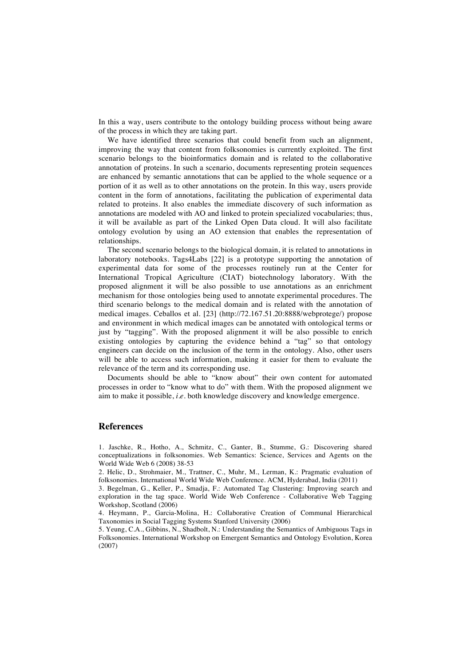In this a way, users contribute to the ontology building process without being aware of the process in which they are taking part.

We have identified three scenarios that could benefit from such an alignment, improving the way that content from folksonomies is currently exploited. The first scenario belongs to the bioinformatics domain and is related to the collaborative annotation of proteins. In such a scenario, documents representing protein sequences are enhanced by semantic annotations that can be applied to the whole sequence or a portion of it as well as to other annotations on the protein. In this way, users provide content in the form of annotations, facilitating the publication of experimental data related to proteins. It also enables the immediate discovery of such information as annotations are modeled with AO and linked to protein specialized vocabularies; thus, it will be available as part of the Linked Open Data cloud. It will also facilitate ontology evolution by using an AO extension that enables the representation of relationships.

The second scenario belongs to the biological domain, it is related to annotations in laboratory notebooks. Tags4Labs [22] is a prototype supporting the annotation of experimental data for some of the processes routinely run at the Center for International Tropical Agriculture (CIAT) biotechnology laboratory. With the proposed alignment it will be also possible to use annotations as an enrichment mechanism for those ontologies being used to annotate experimental procedures. The third scenario belongs to the medical domain and is related with the annotation of medical images. Ceballos et al. [23] (http://72.167.51.20:8888/webprotege/) propose and environment in which medical images can be annotated with ontological terms or just by "tagging". With the proposed alignment it will be also possible to enrich existing ontologies by capturing the evidence behind a "tag" so that ontology engineers can decide on the inclusion of the term in the ontology. Also, other users will be able to access such information, making it easier for them to evaluate the relevance of the term and its corresponding use.

Documents should be able to "know about" their own content for automated processes in order to "know what to do" with them. With the proposed alignment we aim to make it possible, *i.e*. both knowledge discovery and knowledge emergence.

#### **References**

1. Jaschke, R., Hotho, A., Schmitz, C., Ganter, B., Stumme, G.: Discovering shared conceptualizations in folksonomies. Web Semantics: Science, Services and Agents on the World Wide Web 6 (2008) 38-53

2. Helic, D., Strohmaier, M., Trattner, C., Muhr, M., Lerman, K.: Pragmatic evaluation of folksonomies. International World Wide Web Conference. ACM, Hyderabad, India (2011)

3. Begelman, G., Keller, P., Smadja, F.: Automated Tag Clustering: Improving search and exploration in the tag space. World Wide Web Conference - Collaborative Web Tagging Workshop, Scotland (2006)

4. Heymann, P., Garcia-Molina, H.: Collaborative Creation of Communal Hierarchical Taxonomies in Social Tagging Systems Stanford University (2006)

5. Yeung, C.A., Gibbins, N., Shadbolt, N.: Understanding the Semantics of Ambiguous Tags in Folksonomies. International Workshop on Emergent Semantics and Ontology Evolution, Korea (2007)